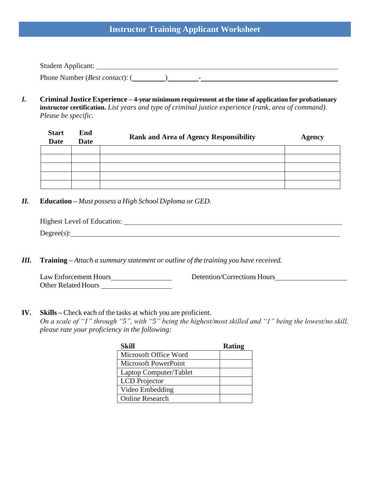# **Instructor Training Applicant Worksheet**

Student Applicant: Phone Number (*Best contact*): ( ) -

*I.* **Criminal Justice Experience – 4-year minimum requirement at the time of application for probationary instructor certification.** *List years and type of criminal justice experience (rank, area of command). Please be specific.*

| <b>Start</b><br><b>Date</b> | End<br><b>Date</b> | <b>Rank and Area of Agency Responsibility</b> | <b>Agency</b> |
|-----------------------------|--------------------|-----------------------------------------------|---------------|
|                             |                    |                                               |               |
|                             |                    |                                               |               |
|                             |                    |                                               |               |
|                             |                    |                                               |               |
|                             |                    |                                               |               |

*II.* **Education –** *Must possess a High School Diploma or GED.*

| Highest Level of Education: |
|-----------------------------|
| Degree(s):                  |
|                             |

*III.* **Training –** *Attach a summary statement or outline of the training you have received.*

| Law Enforcement Hours      | Detention/Corrections Hours |
|----------------------------|-----------------------------|
| <b>Other Related Hours</b> |                             |

**IV. Skills –** Check each of the tasks at which you are proficient. *On a scale of "1" through "5", with "5" being the highest/most skilled and "1" being the lowest/no skill, please rate your proficiency in the following:*

| Skill                       | <b>Rating</b> |
|-----------------------------|---------------|
| Microsoft Office Word       |               |
| <b>Microsoft PowerPoint</b> |               |
| Laptop Computer/Tablet      |               |
| <b>LCD</b> Projector        |               |
| Video Embedding             |               |
| <b>Online Research</b>      |               |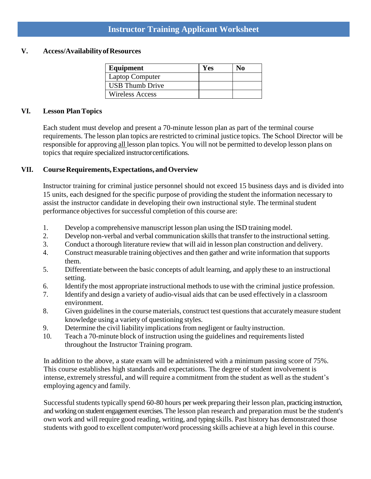# **Instructor Training Applicant Worksheet**

#### **V. Access/AvailabilityofResources**

| Equipment              | Yes | No. |
|------------------------|-----|-----|
| <b>Laptop Computer</b> |     |     |
| <b>USB</b> Thumb Drive |     |     |
| <b>Wireless Access</b> |     |     |

#### **VI. Lesson PlanTopics**

Each student must develop and present a 70-minute lesson plan as part of the terminal course requirements. The lesson plan topics are restricted to criminal justice topics. The School Director will be responsible for approving all lesson plan topics. You will not be permitted to develop lesson plans on topics that require specialized instructorcertifications.

### **VII. CourseRequirements,Expectations, andOverview**

Instructor training for criminal justice personnel should not exceed 15 business days and is divided into 15 units, each designed for the specific purpose of providing the student the information necessary to assist the instructor candidate in developing their own instructional style. The terminal student performance objectives for successful completion of this course are:

- 1. Develop a comprehensive manuscript lesson plan using the ISD training model.
- 2. Develop non-verbal and verbal communication skills that transfer to the instructional setting.
- 3. Conduct a thorough literature review that will aid in lesson plan construction and delivery.
- 4. Construct measurable training objectives and then gather and write information thatsupports them.
- 5. Differentiate between the basic concepts of adult learning, and apply these to an instructional setting.
- 6. Identify the most appropriate instructional methods to use with the criminal justice profession.
- 7. Identify and design a variety of audio-visual aids that can be used effectively in a classroom environment.
- 8. Given guidelines in the course materials, construct test questions that accurately measure student knowledge using a variety of questioning styles.
- 9. Determine the civil liability implications from negligent or faulty instruction.
- 10. Teach a 70-minute block of instruction using the guidelines and requirements listed throughout the Instructor Training program.

In addition to the above, a state exam will be administered with a minimum passing score of 75%. This course establishes high standards and expectations. The degree of student involvement is intense, extremely stressful, and will require a commitment from the student as well as the student's employing agency and family.

Successful students typically spend 60-80 hours per week preparing their lesson plan, practicing instruction, and working on student engagement exercises. The lesson plan research and preparation must be the student's own work and will require good reading, writing, and typing skills. Past history has demonstrated those students with good to excellent computer/word processing skills achieve at a high level in this course.